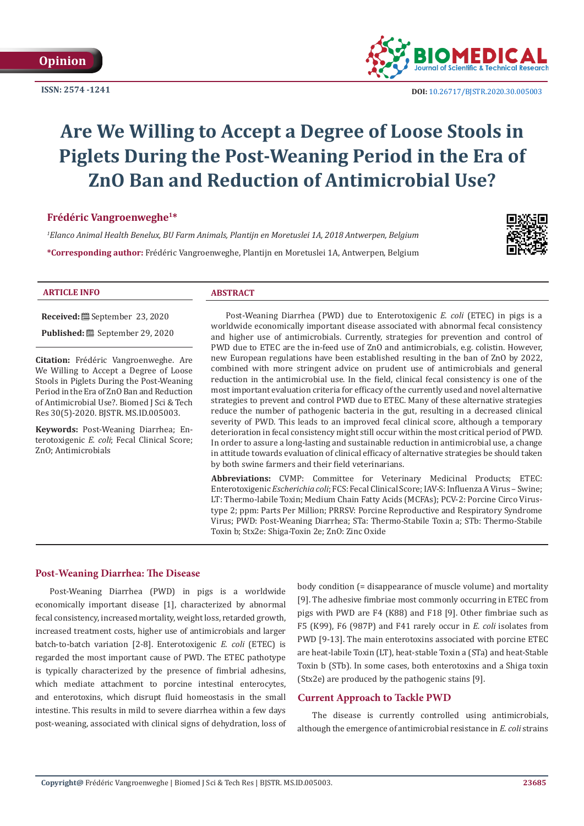**ISSN: 2574 -1241**



 **DOI:** [10.26717/BJSTR.2020.30.005](http://dx.doi.org/10.26717/BJSTR.2020.30.005003)003

# **Are We Willing to Accept a Degree of Loose Stools in Piglets During the Post-Weaning Period in the Era of ZnO Ban and Reduction of Antimicrobial Use?**

# **Frédéric Vangroenweghe1\***

*1 Elanco Animal Health Benelux, BU Farm Animals, Plantijn en Moretuslei 1A, 2018 Antwerpen, Belgium* **\*Corresponding author:** Frédéric Vangroenweghe, Plantijn en Moretuslei 1A, Antwerpen, Belgium



## **ARTICLE INFO ABSTRACT**

**Received:** September 23, 2020

**Published:** <sup>■</sup> September 29, 2020

**Citation:** Frédéric Vangroenweghe. Are We Willing to Accept a Degree of Loose Stools in Piglets During the Post-Weaning Period in the Era of ZnO Ban and Reduction of Antimicrobial Use?. Biomed J Sci & Tech Res 30(5)-2020. BJSTR. MS.ID.005003.

**Keywords:** Post-Weaning Diarrhea; Enterotoxigenic *E. coli*; Fecal Clinical Score; ZnO; Antimicrobials

Post-Weaning Diarrhea (PWD) due to Enterotoxigenic *E. coli* (ETEC) in pigs is a worldwide economically important disease associated with abnormal fecal consistency and higher use of antimicrobials. Currently, strategies for prevention and control of PWD due to ETEC are the in-feed use of ZnO and antimicrobials, e.g. colistin. However, new European regulations have been established resulting in the ban of ZnO by 2022, combined with more stringent advice on prudent use of antimicrobials and general reduction in the antimicrobial use. In the field, clinical fecal consistency is one of the most important evaluation criteria for efficacy of the currently used and novel alternative strategies to prevent and control PWD due to ETEC. Many of these alternative strategies reduce the number of pathogenic bacteria in the gut, resulting in a decreased clinical severity of PWD. This leads to an improved fecal clinical score, although a temporary deterioration in fecal consistency might still occur within the most critical period of PWD. In order to assure a long-lasting and sustainable reduction in antimicrobial use, a change in attitude towards evaluation of clinical efficacy of alternative strategies be should taken by both swine farmers and their field veterinarians.

**Abbreviations:** CVMP: Committee for Veterinary Medicinal Products; ETEC: Enterotoxigenic *Escherichia coli*; FCS: Fecal Clinical Score; IAV-S: Influenza A Virus – Swine; LT: Thermo-labile Toxin; Medium Chain Fatty Acids (MCFAs); PCV-2: Porcine Circo Virustype 2; ppm: Parts Per Million; PRRSV: Porcine Reproductive and Respiratory Syndrome Virus; PWD: Post-Weaning Diarrhea; STa: Thermo-Stabile Toxin a; STb: Thermo-Stabile Toxin b; Stx2e: Shiga-Toxin 2e; ZnO: Zinc Oxide

# **Post-Weaning Diarrhea: The Disease**

Post-Weaning Diarrhea (PWD) in pigs is a worldwide economically important disease [1], characterized by abnormal fecal consistency, increased mortality, weight loss, retarded growth, increased treatment costs, higher use of antimicrobials and larger batch-to-batch variation [2-8]. Enterotoxigenic *E. coli* (ETEC) is regarded the most important cause of PWD. The ETEC pathotype is typically characterized by the presence of fimbrial adhesins, which mediate attachment to porcine intestinal enterocytes, and enterotoxins, which disrupt fluid homeostasis in the small intestine. This results in mild to severe diarrhea within a few days post-weaning, associated with clinical signs of dehydration, loss of body condition (= disappearance of muscle volume) and mortality [9]. The adhesive fimbriae most commonly occurring in ETEC from pigs with PWD are F4 (K88) and F18 [9]. Other fimbriae such as F5 (K99), F6 (987P) and F41 rarely occur in *E. coli* isolates from PWD [9-13]. The main enterotoxins associated with porcine ETEC are heat-labile Toxin (LT), heat-stable Toxin a (STa) and heat-Stable Toxin b (STb). In some cases, both enterotoxins and a Shiga toxin (Stx2e) are produced by the pathogenic stains [9].

# **Current Approach to Tackle PWD**

The disease is currently controlled using antimicrobials, although the emergence of antimicrobial resistance in *E. coli* strains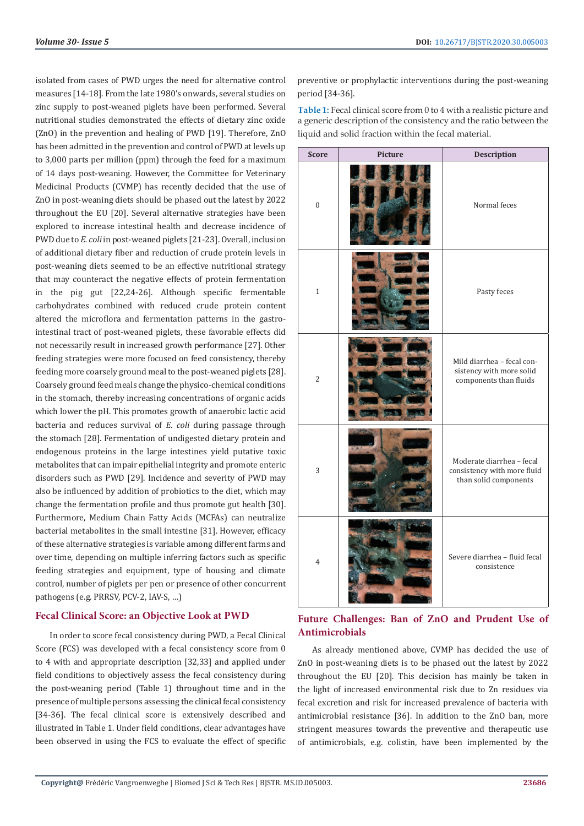isolated from cases of PWD urges the need for alternative control measures [14-18]. From the late 1980's onwards, several studies on zinc supply to post-weaned piglets have been performed. Several nutritional studies demonstrated the effects of dietary zinc oxide (ZnO) in the prevention and healing of PWD [19]. Therefore, ZnO has been admitted in the prevention and control of PWD at levels up to 3,000 parts per million (ppm) through the feed for a maximum of 14 days post-weaning. However, the Committee for Veterinary Medicinal Products (CVMP) has recently decided that the use of ZnO in post-weaning diets should be phased out the latest by 2022 throughout the EU [20]. Several alternative strategies have been explored to increase intestinal health and decrease incidence of PWD due to *E. coli* in post-weaned piglets [21-23]. Overall, inclusion of additional dietary fiber and reduction of crude protein levels in post-weaning diets seemed to be an effective nutritional strategy that may counteract the negative effects of protein fermentation in the pig gut [22,24-26]. Although specific fermentable carbohydrates combined with reduced crude protein content altered the microflora and fermentation patterns in the gastrointestinal tract of post-weaned piglets, these favorable effects did not necessarily result in increased growth performance [27]. Other feeding strategies were more focused on feed consistency, thereby feeding more coarsely ground meal to the post-weaned piglets [28]. Coarsely ground feed meals change the physico-chemical conditions in the stomach, thereby increasing concentrations of organic acids which lower the pH. This promotes growth of anaerobic lactic acid bacteria and reduces survival of *E. coli* during passage through the stomach [28]. Fermentation of undigested dietary protein and endogenous proteins in the large intestines yield putative toxic metabolites that can impair epithelial integrity and promote enteric disorders such as PWD [29]. Incidence and severity of PWD may also be influenced by addition of probiotics to the diet, which may change the fermentation profile and thus promote gut health [30]. Furthermore, Medium Chain Fatty Acids (MCFAs) can neutralize bacterial metabolites in the small intestine [31]. However, efficacy of these alternative strategies is variable among different farms and over time, depending on multiple inferring factors such as specific feeding strategies and equipment, type of housing and climate control, number of piglets per pen or presence of other concurrent pathogens (e.g. PRRSV, PCV-2, IAV-S, …)

### **Fecal Clinical Score: an Objective Look at PWD**

In order to score fecal consistency during PWD, a Fecal Clinical Score (FCS) was developed with a fecal consistency score from 0 to 4 with and appropriate description [32,33] and applied under field conditions to objectively assess the fecal consistency during the post-weaning period (Table 1) throughout time and in the presence of multiple persons assessing the clinical fecal consistency [34-36]. The fecal clinical score is extensively described and illustrated in Table 1. Under field conditions, clear advantages have been observed in using the FCS to evaluate the effect of specific

preventive or prophylactic interventions during the post-weaning period [34-36].

**Table 1:** Fecal clinical score from 0 to 4 with a realistic picture and a generic description of the consistency and the ratio between the liquid and solid fraction within the fecal material.

| <b>Score</b>     | Picture | Description                                                                       |
|------------------|---------|-----------------------------------------------------------------------------------|
| $\boldsymbol{0}$ |         | Normal feces                                                                      |
| $\mathbf{1}$     |         | Pasty feces                                                                       |
| $\overline{2}$   |         | Mild diarrhea - fecal con-<br>sistency with more solid<br>components than fluids  |
| 3                |         | Moderate diarrhea - fecal<br>consistency with more fluid<br>than solid components |
| $\overline{4}$   |         | Severe diarrhea - fluid fecal<br>consistence                                      |

# **Future Challenges: Ban of ZnO and Prudent Use of Antimicrobials**

As already mentioned above, CVMP has decided the use of ZnO in post-weaning diets is to be phased out the latest by 2022 throughout the EU [20]. This decision has mainly be taken in the light of increased environmental risk due to Zn residues via fecal excretion and risk for increased prevalence of bacteria with antimicrobial resistance [36]. In addition to the ZnO ban, more stringent measures towards the preventive and therapeutic use of antimicrobials, e.g. colistin, have been implemented by the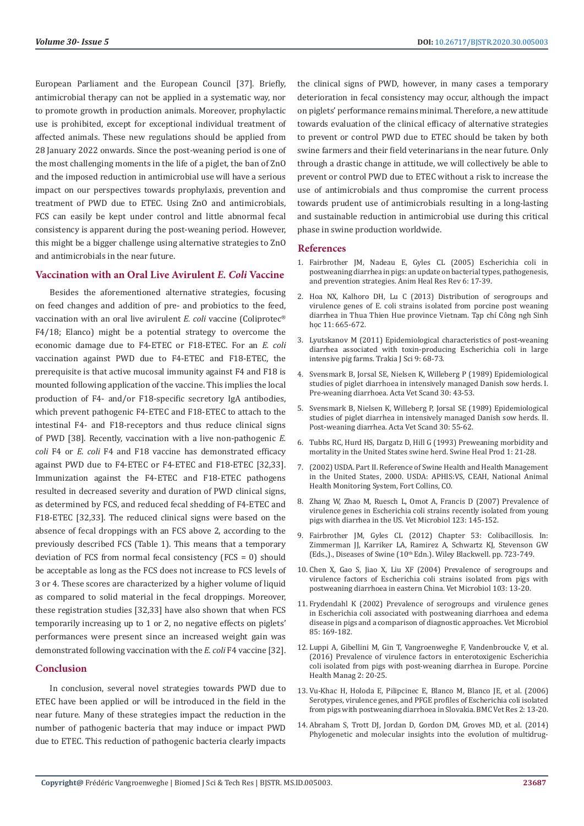European Parliament and the European Council [37]. Briefly, antimicrobial therapy can not be applied in a systematic way, nor to promote growth in production animals. Moreover, prophylactic use is prohibited, except for exceptional individual treatment of affected animals. These new regulations should be applied from 28 January 2022 onwards. Since the post-weaning period is one of the most challenging moments in the life of a piglet, the ban of ZnO and the imposed reduction in antimicrobial use will have a serious impact on our perspectives towards prophylaxis, prevention and treatment of PWD due to ETEC. Using ZnO and antimicrobials, FCS can easily be kept under control and little abnormal fecal consistency is apparent during the post-weaning period. However, this might be a bigger challenge using alternative strategies to ZnO and antimicrobials in the near future.

# **Vaccination with an Oral Live Avirulent** *E. Coli* **Vaccine**

Besides the aforementioned alternative strategies, focusing on feed changes and addition of pre- and probiotics to the feed, vaccination with an oral live avirulent *E. coli* vaccine (Coliprotec® F4/18; Elanco) might be a potential strategy to overcome the economic damage due to F4-ETEC or F18-ETEC. For an *E. coli* vaccination against PWD due to F4-ETEC and F18-ETEC, the prerequisite is that active mucosal immunity against F4 and F18 is mounted following application of the vaccine. This implies the local production of F4- and/or F18-specific secretory IgA antibodies, which prevent pathogenic F4-ETEC and F18-ETEC to attach to the intestinal F4- and F18-receptors and thus reduce clinical signs of PWD [38]. Recently, vaccination with a live non-pathogenic *E. coli* F4 or *E. coli* F4 and F18 vaccine has demonstrated efficacy against PWD due to F4-ETEC or F4-ETEC and F18-ETEC [32,33]. Immunization against the F4-ETEC and F18-ETEC pathogens resulted in decreased severity and duration of PWD clinical signs, as determined by FCS, and reduced fecal shedding of F4-ETEC and F18-ETEC [32,33]. The reduced clinical signs were based on the absence of fecal droppings with an FCS above 2, according to the previously described FCS (Table 1). This means that a temporary deviation of FCS from normal fecal consistency (FCS = 0) should be acceptable as long as the FCS does not increase to FCS levels of 3 or 4. These scores are characterized by a higher volume of liquid as compared to solid material in the fecal droppings. Moreover, these registration studies [32,33] have also shown that when FCS temporarily increasing up to 1 or 2, no negative effects on piglets' performances were present since an increased weight gain was demonstrated following vaccination with the *E. coli* F4 vaccine [32].

#### **Conclusion**

In conclusion, several novel strategies towards PWD due to ETEC have been applied or will be introduced in the field in the near future. Many of these strategies impact the reduction in the number of pathogenic bacteria that may induce or impact PWD due to ETEC. This reduction of pathogenic bacteria clearly impacts

the clinical signs of PWD, however, in many cases a temporary deterioration in fecal consistency may occur, although the impact on piglets' performance remains minimal. Therefore, a new attitude towards evaluation of the clinical efficacy of alternative strategies to prevent or control PWD due to ETEC should be taken by both swine farmers and their field veterinarians in the near future. Only through a drastic change in attitude, we will collectively be able to prevent or control PWD due to ETEC without a risk to increase the use of antimicrobials and thus compromise the current process towards prudent use of antimicrobials resulting in a long-lasting and sustainable reduction in antimicrobial use during this critical phase in swine production worldwide.

#### **References**

- 1. [Fairbrother JM, Nadeau E, Gyles CL \(2005\) Escherichia coli in](https://pubmed.ncbi.nlm.nih.gov/16164007/) [postweaning diarrhea in pigs: an update on bacterial types, pathogenesis,](https://pubmed.ncbi.nlm.nih.gov/16164007/) [and prevention strategies. Anim Heal Res Rev 6: 17-39.](https://pubmed.ncbi.nlm.nih.gov/16164007/)
- 2. [Hoa NX, Kalhoro DH, Lu C \(2013\) Distribution of serogroups and](https://www.researchgate.net/publication/263417445_DISTRIBUTION_OF_SEROGROUPS_AND_VIRULENCE_GENES_OF_E_COLI_STRAINS_ISOLATED_FROM_PORCINE_POST_WEANING_DIARRHEA_IN_THUA_THIEN_HUE_PROVINCE_VIETNAM) [virulence genes of E. coli strains isolated from porcine post weaning](https://www.researchgate.net/publication/263417445_DISTRIBUTION_OF_SEROGROUPS_AND_VIRULENCE_GENES_OF_E_COLI_STRAINS_ISOLATED_FROM_PORCINE_POST_WEANING_DIARRHEA_IN_THUA_THIEN_HUE_PROVINCE_VIETNAM) [diarrhea in Thua Thien Hue province Vietnam. Tạp chí Công ngh Sinh](https://www.researchgate.net/publication/263417445_DISTRIBUTION_OF_SEROGROUPS_AND_VIRULENCE_GENES_OF_E_COLI_STRAINS_ISOLATED_FROM_PORCINE_POST_WEANING_DIARRHEA_IN_THUA_THIEN_HUE_PROVINCE_VIETNAM) [học 11: 665-672.](https://www.researchgate.net/publication/263417445_DISTRIBUTION_OF_SEROGROUPS_AND_VIRULENCE_GENES_OF_E_COLI_STRAINS_ISOLATED_FROM_PORCINE_POST_WEANING_DIARRHEA_IN_THUA_THIEN_HUE_PROVINCE_VIETNAM)
- 3. [Lyutskanov M \(2011\) Epidemiological characteristics of post-weaning](http://www.uni-sz.bg/tsj/Vol9N3_2011/M.Luckanov.pdf) [diarrhea associated with toxin-producing Escherichia coli in large](http://www.uni-sz.bg/tsj/Vol9N3_2011/M.Luckanov.pdf) [intensive pig farms. Trakia J Sci 9: 68-73.](http://www.uni-sz.bg/tsj/Vol9N3_2011/M.Luckanov.pdf)
- 4. [Svensmark B, Jorsal SE, Nielsen K, Willeberg P \(1989\) Epidemiological](https://pubmed.ncbi.nlm.nih.gov/2782232/) [studies of piglet diarrhoea in intensively managed Danish sow herds. I.](https://pubmed.ncbi.nlm.nih.gov/2782232/) [Pre-weaning diarrhoea. Acta Vet Scand 30: 43-53.](https://pubmed.ncbi.nlm.nih.gov/2782232/)
- 5. [Svensmark B, Nielsen K, Willeberg P, Jorsal SE \(1989\) Epidemiological](https://pubmed.ncbi.nlm.nih.gov/2782233/) [studies of piglet diarrhea in intensively managed Danish sow herds. II.](https://pubmed.ncbi.nlm.nih.gov/2782233/) [Post-weaning diarrhea. Acta Vet Scand 30: 55-62.](https://pubmed.ncbi.nlm.nih.gov/2782233/)
- 6. [Tubbs RC, Hurd HS, Dargatz D, Hill G \(1993\) Preweaning morbidity and](https://pubag.nal.usda.gov/download/35742/PDF) [mortality in the United States swine herd. Swine Heal Prod 1: 21-28.](https://pubag.nal.usda.gov/download/35742/PDF)
- 7. [\(2002\) USDA. Part II. Reference of Swine Health and Health Management](https://www.aphis.usda.gov/animal_health/nahms/swine/downloads/swine2000/Swine2000_dr_PartII.pdf) [in the United States, 2000. USDA: APHIS:VS, CEAH, National Animal](https://www.aphis.usda.gov/animal_health/nahms/swine/downloads/swine2000/Swine2000_dr_PartII.pdf) [Health Monitoring System, Fort Collins, CO.](https://www.aphis.usda.gov/animal_health/nahms/swine/downloads/swine2000/Swine2000_dr_PartII.pdf)
- 8. [Zhang W, Zhao M, Ruesch L, Omot A, Francis D \(2007\) Prevalence of](https://pubmed.ncbi.nlm.nih.gov/17368762/) [virulence genes in Escherichia coli strains recently isolated from young](https://pubmed.ncbi.nlm.nih.gov/17368762/) [pigs with diarrhea in the US. Vet Microbiol 123: 145-152.](https://pubmed.ncbi.nlm.nih.gov/17368762/)
- 9. Fairbrother JM, Gyles CL (2012) Chapter 53: Colibacillosis. In: Zimmerman JJ, Karriker LA, Ramirez A, Schwartz KJ, Stevenson GW (Eds.,)., Diseases of Swine (10<sup>th</sup> Edn.). Wiley Blackwell. pp. 723-749.
- 10. [Chen X, Gao S, Jiao X, Liu XF \(2004\) Prevalence of serogroups and](https://pubmed.ncbi.nlm.nih.gov/15381261/) [virulence factors of Escherichia coli strains isolated from pigs with](https://pubmed.ncbi.nlm.nih.gov/15381261/) [postweaning diarrhoea in eastern China. Vet Microbiol 103: 13-20.](https://pubmed.ncbi.nlm.nih.gov/15381261/)
- 11. [Frydendahl K \(2002\) Prevalence of serogroups and virulence genes](https://pubmed.ncbi.nlm.nih.gov/11844623/) [in Escherichia coli associated with postweaning diarrhoea and edema](https://pubmed.ncbi.nlm.nih.gov/11844623/) [disease in pigs and a comparison of diagnostic approaches. Vet Microbiol](https://pubmed.ncbi.nlm.nih.gov/11844623/) [85: 169-182.](https://pubmed.ncbi.nlm.nih.gov/11844623/)
- 12. [Luppi A, Gibellini M, Gin T, Vangroenweghe F, Vandenbroucke V, et al.](https://pubmed.ncbi.nlm.nih.gov/28405446/) [\(2016\) Prevalence of virulence factors in enterotoxigenic Escherichia](https://pubmed.ncbi.nlm.nih.gov/28405446/) [coli isolated from pigs with post-weaning diarrhea in Europe. Porcine](https://pubmed.ncbi.nlm.nih.gov/28405446/) [Health Manag 2: 20-25.](https://pubmed.ncbi.nlm.nih.gov/28405446/)
- 13. [Vu-Khac H, Holoda E, Pilipcinec E, Blanco M, Blanco JE, et al. \(2006\)](https://www.researchgate.net/publication/7230005_Serotypes_virulence_genes_and_PFGE_profiles_of_Escherichia_coli_isolated_from_pigs_with_postweaning_diarrhoea_in_Slovakia) [Serotypes, virulence genes, and PFGE profiles of Escherichia coli isolated](https://www.researchgate.net/publication/7230005_Serotypes_virulence_genes_and_PFGE_profiles_of_Escherichia_coli_isolated_from_pigs_with_postweaning_diarrhoea_in_Slovakia) [from pigs with postweaning diarrhoea in Slovakia. BMC Vet Res 2: 13-20.](https://www.researchgate.net/publication/7230005_Serotypes_virulence_genes_and_PFGE_profiles_of_Escherichia_coli_isolated_from_pigs_with_postweaning_diarrhoea_in_Slovakia)
- 14. [Abraham S, Trott DJ, Jordan D, Gordon DM, Groves MD, et al. \(2014\)](https://pubmed.ncbi.nlm.nih.gov/24948578/) [Phylogenetic and molecular insights into the evolution of multidrug-](https://pubmed.ncbi.nlm.nih.gov/24948578/)